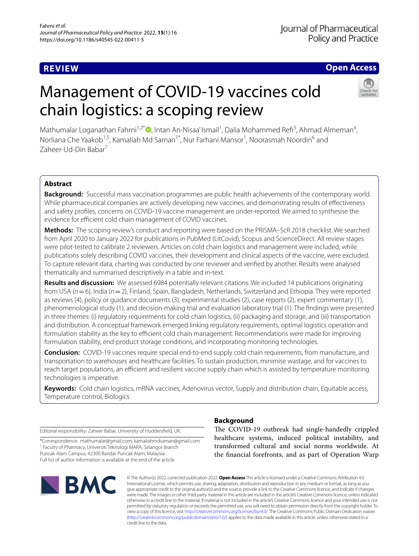# **REVIEW**

# **Open Access**

# Management of COVID-19 vaccines cold chain logistics: a scoping review



Mathumalar Loganathan Fahrni<sup>1,2\*</sup>®[,](http://orcid.org/0000-0002-9042-4290) Intan An-Nisaa' Ismail<sup>1</sup>, Dalia Mohammed Refi<sup>3</sup>, Ahmad Almeman<sup>4</sup>, Norliana Che Yaakob<sup>1,5</sup>, Kamaliah Md Saman<sup>1\*</sup>, Nur Farhani Mansor<sup>1</sup>, Noorasmah Noordin<sup>6</sup> and Zaheer-Ud-Din Babar<sup>7</sup>

# **Abstract**

**Background:** Successful mass vaccination programmes are public health achievements of the contemporary world. While pharmaceutical companies are actively developing new vaccines, and demonstrating results of efectiveness and safety profles, concerns on COVID-19 vaccine management are under-reported. We aimed to synthesise the evidence for efficient cold chain management of COVID vaccines.

**Methods:** The scoping review's conduct and reporting were based on the PRISMA–ScR 2018 checklist. We searched from April 2020 to January 2022 for publications in PubMed (LitCovid), Scopus and ScienceDirect. All review stages were pilot-tested to calibrate 2 reviewers. Articles on cold chain logistics and management were included, while publications solely describing COVID vaccines, their development and clinical aspects of the vaccine, were excluded. To capture relevant data, charting was conducted by one reviewer and verifed by another. Results were analysed thematically and summarised descriptively in a table and in-text.

**Results and discussion:** We assessed 6984 potentially relevant citations. We included 14 publications originating from USA ( $n=6$ ), India ( $n=2$ ), Finland, Spain, Bangladesh, Netherlands, Switzerland and Ethiopia. They were reported as reviews (4), policy or guidance documents (3), experimental studies (2), case reports (2), expert commentary (1), phenomenological study (1), and decision-making trial and evaluation laboratory trial (1). The fndings were presented in three themes: (i) regulatory requirements for cold-chain logistics, (ii) packaging and storage, and (iii) transportation and distribution. A conceptual framework emerged linking regulatory requirements, optimal logistics operation and formulation stability as the key to efficient cold chain management. Recommendations were made for improving formulation stability, end-product storage conditions, and incorporating monitoring technologies.

**Conclusion:** COVID-19 vaccines require special end-to-end supply cold chain requirements, from manufacture, and transportation to warehouses and healthcare facilities. To sustain production, minimise wastage, and for vaccines to reach target populations, an efficient and resilient vaccine supply chain which is assisted by temperature monitoring technologies is imperative.

**Keywords:** Cold chain logistics, mRNA vaccines, Adenovirus vector, Supply and distribution chain, Equitable access, Temperature control, Biologics

Editorial responsibility: Zaheer Babar, University of Huddersfeld, UK.

\*Correspondence: mathumalar@gmail.com; kamaliahmdsaman@gmail.com <sup>1</sup> Faculty of Pharmacy, Universiti Teknologi MARA, Selangor Branch Puncak Alam Campus, 42300 Bandar Puncak Alam, Malaysia Full list of author information is available at the end of the article



# **Background**

The COVID-19 outbreak had single-handedly crippled healthcare systems, induced political instability, and transformed cultural and social norms worldwide. At the fnancial forefronts, and as part of Operation Warp

© The Author(s) 2022, corrected publication 2022. **Open Access** This article is licensed under a Creative Commons Attribution 4.0 International License, which permits use, sharing, adaptation, distribution and reproduction in any medium or format, as long as you give appropriate credit to the original author(s) and the source, provide a link to the Creative Commons licence, and indicate if changes were made. The images or other third party material in this article are included in the article's Creative Commons licence, unless indicated otherwise in a credit line to the material. If material is not included in the article's Creative Commons licence and your intended use is not permitted by statutory regulation or exceeds the permitted use, you will need to obtain permission directly from the copyright holder. To view a copy of this licence, visit [http://creativecommons.org/licenses/by/4.0/.](http://creativecommons.org/licenses/by/4.0/) The Creative Commons Public Domain Dedication waiver [\(http://creativecommons.org/publicdomain/zero/1.0/\)](http://creativecommons.org/publicdomain/zero/1.0/) applies to the data made available in this article, unless otherwise stated in a credit line to the data.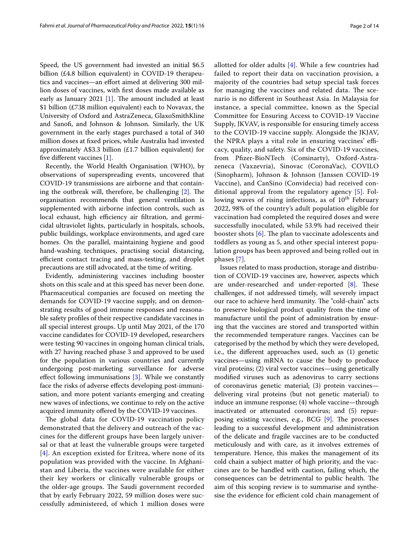Speed, the US government had invested an initial \$6.5 billion (£4.8 billion equivalent) in COVID-19 therapeutics and vaccines—an efort aimed at delivering 300 million doses of vaccines, with frst doses made available as early as January 2021  $[1]$  $[1]$ . The amount included at least \$1 billion (£738 million equivalent) each to Novavax, the University of Oxford and AstraZeneca, GlaxoSmithKline and Sanof, and Johnson & Johnson. Similarly, the UK government in the early stages purchased a total of 340 million doses at fxed prices, while Australia had invested approximately A\$3.3 billion (£1.7 billion equivalent) for five different vaccines [\[1](#page-12-0)].

Recently, the World Health Organisation (WHO), by observations of superspreading events, uncovered that COVID-19 transmissions are airborne and that containing the outbreak will, therefore, be challenging  $[2]$  $[2]$ . The organisation recommends that general ventilation is supplemented with airborne infection controls, such as local exhaust, high efficiency air filtration, and germicidal ultraviolet lights, particularly in hospitals, schools, public buildings, workplace environments, and aged care homes. On the parallel, maintaining hygiene and good hand-washing techniques, practising social distancing, efficient contact tracing and mass-testing, and droplet precautions are still advocated, at the time of writing.

Evidently, administering vaccines including booster shots on this scale and at this speed has never been done. Pharmaceutical companies are focused on meeting the demands for COVID-19 vaccine supply, and on demonstrating results of good immune responses and reasonable safety profles of their respective candidate vaccines in all special interest groups. Up until May 2021, of the 170 vaccine candidates for COVID-19 developed, researchers were testing 90 vaccines in ongoing human clinical trials, with 27 having reached phase 3 and approved to be used for the population in various countries and currently undergoing post-marketing surveillance for adverse efect following immunisations [\[3](#page-12-2)]. While we constantly face the risks of adverse efects developing post-immunisation, and more potent variants emerging and creating new waves of infections, we continue to rely on the active acquired immunity ofered by the COVID-19 vaccines.

The global data for COVID-19 vaccination policy demonstrated that the delivery and outreach of the vaccines for the diferent groups have been largely universal or that at least the vulnerable groups were targeted [[4](#page-12-3)]. An exception existed for Eritrea, where none of its population was provided with the vaccine. In Afghanistan and Liberia, the vaccines were available for either their key workers or clinically vulnerable groups or the older-age groups. The Saudi government recorded that by early February 2022, 59 million doses were successfully administered, of which 1 million doses were allotted for older adults [\[4](#page-12-3)]. While a few countries had failed to report their data on vaccination provision, a majority of the countries had setup special task forces for managing the vaccines and related data. The scenario is no diferent in Southeast Asia. In Malaysia for instance, a special committee, known as the Special Committee for Ensuring Access to COVID-19 Vaccine Supply, JKVAV, is responsible for ensuring timely access to the COVID-19 vaccine supply. Alongside the JKJAV, the NPRA plays a vital role in ensuring vaccines' efficacy, quality, and safety. Six of the COVID-19 vaccines, from Pfzer-BioNTech (Cominarty), Oxford-Astrazeneca (Vaxzevria), Sinovac (CoronaVac), COVILO (Sinopharm), Johnson & Johnson (Janssen COVID-19 Vaccine), and CanSino (Convidecia) had received conditional approval from the regulatory agency [\[5](#page-12-4)]. Following waves of rising infections, as of  $10<sup>th</sup>$  February 2022, 98% of the country's adult population eligible for vaccination had completed the required doses and were successfully inoculated, while 53.9% had received their booster shots  $[6]$  $[6]$  $[6]$ . The plan to vaccinate adolescents and toddlers as young as 5, and other special interest population groups has been approved and being rolled out in phases [[7\]](#page-12-6).

Issues related to mass production, storage and distribution of COVID-19 vaccines are, however, aspects which are under-researched and under-reported  $[8]$  $[8]$ . These challenges, if not addressed timely, will severely impact our race to achieve herd immunity. The "cold-chain" acts to preserve biological product quality from the time of manufacture until the point of administration by ensuring that the vaccines are stored and transported within the recommended temperature ranges. Vaccines can be categorised by the method by which they were developed, i.e., the diferent approaches used, such as (1) genetic vaccines—using mRNA to cause the body to produce viral proteins; (2) viral vector vaccines—using genetically modifed viruses such as adenovirus to carry sections of coronavirus genetic material; (3) protein vaccines delivering viral proteins (but not genetic material) to induce an immune response; (4) whole vaccine—through inactivated or attenuated coronavirus; and (5) repurposing existing vaccines, e.g., BCG  $[9]$  $[9]$ . The processes leading to a successful development and administration of the delicate and fragile vaccines are to be conducted meticulously and with care, as it involves extremes of temperature. Hence, this makes the management of its cold chain a subject matter of high priority, and the vaccines are to be handled with caution, failing which, the consequences can be detrimental to public health. The aim of this scoping review is to summarise and synthesise the evidence for efficient cold chain management of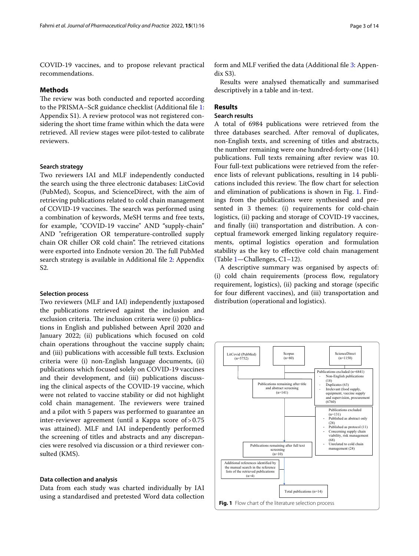COVID-19 vaccines, and to propose relevant practical recommendations.

#### **Methods**

The review was both conducted and reported according to the PRISMA–ScR guidance checklist (Additional fle [1](#page-12-9): Appendix S1). A review protocol was not registered considering the short time frame within which the data were retrieved. All review stages were pilot-tested to calibrate reviewers.

## **Search strategy**

Two reviewers IAI and MLF independently conducted the search using the three electronic databases: LitCovid (PubMed), Scopus, and ScienceDirect, with the aim of retrieving publications related to cold chain management of COVID-19 vaccines. The search was performed using a combination of keywords, MeSH terms and free texts, for example, "COVID-19 vaccine" AND "supply-chain" AND "refrigeration OR temperature-controlled supply chain OR chiller OR cold chain". The retrieved citations were exported into Endnote version 20. The full PubMed search strategy is available in Additional fle [2](#page-12-10): Appendix S2.

#### **Selection process**

Two reviewers (MLF and IAI) independently juxtaposed the publications retrieved against the inclusion and exclusion criteria. The inclusion criteria were (i) publications in English and published between April 2020 and January 2022; (ii) publications which focused on cold chain operations throughout the vaccine supply chain; and (iii) publications with accessible full texts. Exclusion criteria were (i) non-English language documents, (ii) publications which focused solely on COVID-19 vaccines and their development, and (iii) publications discussing the clinical aspects of the COVID-19 vaccine, which were not related to vaccine stability or did not highlight cold chain management. The reviewers were trained and a pilot with 5 papers was performed to guarantee an inter-reviewer agreement (until a Kappa score of>0.75 was attained). MLF and IAI independently performed the screening of titles and abstracts and any discrepancies were resolved via discussion or a third reviewer consulted (KMS).

#### **Data collection and analysis**

Data from each study was charted individually by IAI using a standardised and pretested Word data collection form and MLF verified the data (Additional file [3](#page-12-11): Appendix S3).

Results were analysed thematically and summarised descriptively in a table and in-text.

# **Results**

# **Search results**

A total of 6984 publications were retrieved from the three databases searched. After removal of duplicates, non-English texts, and screening of titles and abstracts, the number remaining were one hundred-forty-one (141) publications. Full texts remaining after review was 10. Four full-text publications were retrieved from the reference lists of relevant publications, resulting in 14 publications included this review. The flow chart for selection and elimination of publications is shown in Fig. [1](#page-2-0). Findings from the publications were synthesised and presented in 3 themes: (i) requirements for cold-chain logistics, (ii) packing and storage of COVID-19 vaccines, and fnally (iii) transportation and distribution. A conceptual framework emerged linking regulatory requirements, optimal logistics operation and formulation stability as the key to efective cold chain management (Table [1—](#page-3-0)Challenges, C1–12).

A descriptive summary was organised by aspects of: (i) cold chain requirements (process flow, regulatory requirement, logistics), (ii) packing and storage (specifc for four diferent vaccines), and (iii) transportation and distribution (operational and logistics).

<span id="page-2-0"></span>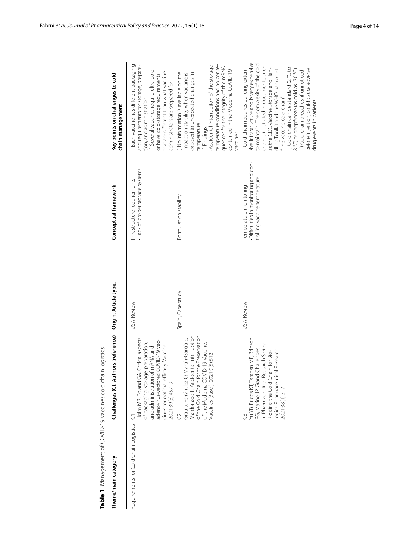| Table 1 Management of COVID-19 vaccines cold chain logistics |                                                                                                                                                                                                                   |                       |                                                                                                |                                                                                                                                                                                                                                                                                                                                                                                                                                                                                        |
|--------------------------------------------------------------|-------------------------------------------------------------------------------------------------------------------------------------------------------------------------------------------------------------------|-----------------------|------------------------------------------------------------------------------------------------|----------------------------------------------------------------------------------------------------------------------------------------------------------------------------------------------------------------------------------------------------------------------------------------------------------------------------------------------------------------------------------------------------------------------------------------------------------------------------------------|
| Theme/main category                                          | Challenges (C), Authors (reference)                                                                                                                                                                               | Origin, Article type, | Conceptual framework                                                                           | Key points on challenges to cold<br>chain management                                                                                                                                                                                                                                                                                                                                                                                                                                   |
| Requirements for Cold Chain Logistics                        | Holm MR, Poland GA. Critical aspects<br>adenovirus-vectored COVID-19 vac-<br>of packaging, storage, preparation,<br>cines for optimal efficacy. Vaccine.<br>of mRNA and<br>and administration<br>2021;39(3):457-9 | USA, Review           | . Lack of proper storage systems<br>Infrastructure requirements                                | i) Each vaccine has different packaging<br>and requirements for storage, prepara-<br>ii) Several vaccines require ultra-cold<br>that are different than what vaccine<br>or have cold-storage requirements<br>administrators are prepared for<br>tion, and administration                                                                                                                                                                                                               |
|                                                              | Maldonado R. Accidental Interruption<br>of the Cold Chain for the Preservation<br>Grau S, Ferrández O, Martín-García E,<br>of the Moderna COVID-19 Vaccine.<br>Vaccines (Basel). 2021;9(5):512                    | Spain, Case study     | Formulation stability                                                                          | Accidental interruption of the storage<br>temperature conditions had no conse-<br>quences for the integrity of the mRNA<br>contained in the Moderna COVID-19<br>i) No information is available on the<br>exposed to unexpected changes in<br>impact on stability when vaccine is<br>temperature<br>ii) Findings:<br>vaccines                                                                                                                                                           |
|                                                              | Yu YB, Briggs KT, Taraban MB, Brinson<br>in Pharmaceutical Research Series:<br>RG, Marino JP. Grand Challenges<br>cal Research.<br>Ridding the Cold Chain for Bio-<br>logics. Pharmaceuti<br>2021;38(1):3-7       | USA, Review           | -Difficulties in monitoring and con-<br>trolling vaccine temperature<br>Temperature monitoring | sive infrastructure and is very expensive<br>to maintain. The complexity of the cold<br>chain is illustrated in documents, such<br>ii) Cold chain can be standard (2 °C to<br>i) Cold chain requires building exten-<br>as the CDC Vaccine Storage and Han-<br>before injection, could cause adverse<br>dling Toolkit and the WHO pamphlet<br>8 °C) or deepfreeze (as cold as -70 °C)<br>iii) Cold chain breaches, if unnoticed<br>"The vaccine cold chain"<br>drug events in patients |

<span id="page-3-0"></span>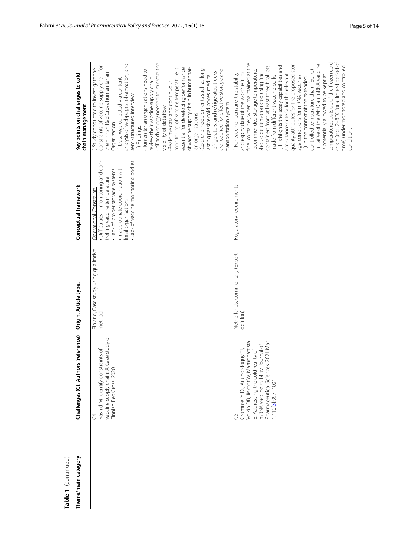| ۵ |  |
|---|--|
|   |  |

| Table 1 (continued) |                                                                                                                                                                                                                 |                                                 |                                                                                                                                                                                                                                            |                                                                                                                                                                                                                                                                                                                                                                                                                                                                                                                                                                                                                                                                                                                                                                                             |
|---------------------|-----------------------------------------------------------------------------------------------------------------------------------------------------------------------------------------------------------------|-------------------------------------------------|--------------------------------------------------------------------------------------------------------------------------------------------------------------------------------------------------------------------------------------------|---------------------------------------------------------------------------------------------------------------------------------------------------------------------------------------------------------------------------------------------------------------------------------------------------------------------------------------------------------------------------------------------------------------------------------------------------------------------------------------------------------------------------------------------------------------------------------------------------------------------------------------------------------------------------------------------------------------------------------------------------------------------------------------------|
| Theme/main category | Challenges (C), Authors (reference)                                                                                                                                                                             | Origin, Article type,                           | Conceptual framework                                                                                                                                                                                                                       | Key points on challenges to cold<br>chain management                                                                                                                                                                                                                                                                                                                                                                                                                                                                                                                                                                                                                                                                                                                                        |
|                     | vaccine supply chain: A Case study of<br>Finnish Red Cross. 2020<br>Rashid M. Identify constraints of<br>J                                                                                                      | Finland, Case study using qualitative<br>method | Difficulties in monitoring and con-<br>· Lack of vaccine monitoring bodies<br>Inappropriate coordination with<br>. Lack of proper storage systems<br>trolling vaccine temperature<br><b>Operational Constraints</b><br>local organisations | IoT technology needed to improve the<br>analysis of webpages, observation, and<br>constraints of vaccine supply chain for<br>essential for developing performance<br>monitoring of vaccine temperature is<br>of vaccine supply chain in humanitar-<br>i) Study conducted to investigate the<br>Cold chain equipments such as long<br>Humanitarian organisations need to<br>are required for effective storage and<br>refrigerators, and refrigerated trucks<br>the Finnish Red Cross humanitarian<br>lasting passive cold boxes, medical<br>review their vaccine supply chain<br>ii) Data was collected via content<br>Real-time data and continuous<br>semi-structured interview<br>transportation system<br>visibility of data flow<br>an organisations<br>Organization<br>iii) Findings: |
|                     | Volkin DB, Jiskoot W, Mastrobattista<br>Pharmaceutical Sciences. 2021 Mar<br>mRNA vaccine stability. Journal of<br>E. Addressing the cold reality of<br>Crommelin DJ, Anchordoquy TJ,<br>1;110[3]:997-1001<br>Ű | Netherlands, Commentary (Expert<br>opinion)     | Requlatory requirements                                                                                                                                                                                                                    | chain (e.g., 2-8 °C for a limited period of<br>temperatures outside of the frozen cold<br>quality attributes for the proposed stor-<br>final container, when maintained at the<br>initiative of the WHO an mRNA vaccine<br>ii) Highlights the assay capabilities and<br>containers from at least three final lots<br>time) under monitored and controlled<br>recommended storage temperature,<br>controlled temperature chain (ECTC)<br>and expiry date of the vaccine in its<br>should be demonstrated using final<br>i) For vaccine licensure, the stability<br>is potentially allowed to be kept at<br>acceptance criteria for the relevant<br>made from different vaccine bulks<br>age conditions for mRNA vaccines<br>iii) In the context of the extended<br>conditions                |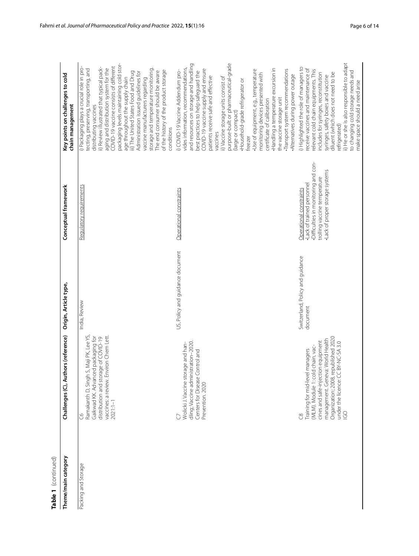| Table 1 (continued) |                                                                                                                                                                                                                                    |                                              |                                                                                                                                                                 |                                                                                                                                                                                                                                                                                                                                                                                                                                                                                                                                                                                                                                                              |
|---------------------|------------------------------------------------------------------------------------------------------------------------------------------------------------------------------------------------------------------------------------|----------------------------------------------|-----------------------------------------------------------------------------------------------------------------------------------------------------------------|--------------------------------------------------------------------------------------------------------------------------------------------------------------------------------------------------------------------------------------------------------------------------------------------------------------------------------------------------------------------------------------------------------------------------------------------------------------------------------------------------------------------------------------------------------------------------------------------------------------------------------------------------------------|
| Theme/main category | uthors (reference)<br>Challenges (C), A                                                                                                                                                                                            | Origin, Article type,                        | Conceptual framework                                                                                                                                            | Key points on challenges to cold<br>chain management                                                                                                                                                                                                                                                                                                                                                                                                                                                                                                                                                                                                         |
| Packing and Storage | vaccines: a review. Environ Chem Lett.<br>Ramakanth D, Singh S, Maji PK, Lee YS,<br>Gaikwad KK. Advanced packaging for<br>distribution and storage of COVID-19<br>$2021:1 - 1$<br>S                                                | India, Review                                | Regulatory reguirements                                                                                                                                         | packaging levels maintaining cold stor-<br>COVID-19 vaccine consists of different<br>ii) Review illustrated that typical pack-<br>i) Packaging plays a crucial role in pro-<br>aging and distribution system for the<br>tecting, preserving, transporting, and<br>storage and temperature monitoring<br>of the history of the product storage<br>The end consumer should be aware<br>iii) The United States Food and Drug<br>Administration issued guidelines for<br>age throughout the supply chain<br>vaccine manufacturers regarding<br>distributing vaccines<br>conditions                                                                               |
|                     | dling; Vaccine administration-2020.<br>Wolicki J. Vaccine storage and han-<br>Centers for Disease Control and<br>Prevention. 2020                                                                                                  | US, Policy and guidance document             | Operational constraints                                                                                                                                         | purpose-built or pharmaceutical-grade<br>and resources on storage and handling<br>vides information, recommendations,<br>Handling a temperature excursion in<br>COVID-19 vaccine supply and ensure<br>Transport system recommendations<br>Use of equipment, e.g., temperature<br>i) COVID-19 Vaccine Addendum pro-<br>best practices to help safeguard the<br>monitoring devices presented with<br>Alternatives during power outage<br>patients receive safe and effective<br>ii) Vaccine storage units consist of<br>Household-grade refrigerator or<br>the vaccine storage unit<br>certificate of calibration<br>(large or compact)<br>vaccines<br>freezer |
|                     | Organization; 2008, republished 2020<br>under the licence: CC BY-NC-SA 3.0<br>management. Geneva: World Health<br>cines and safe-injection equipment<br>(MLM). Module 1: cold chain, vac-<br>Training for mid-level managers<br>60 | Switzerland, Policy and guidance<br>document | Difficulties in monitoring and con-<br>·Lack of proper storage systems<br>trolling vaccine temperature<br>·Lack of trained personnel<br>Operational constraints | ii) He or she is also responsible to adapt<br>) Highlighted the role of managers to<br>receive vaccines and maintenance of<br>relevant cold chain equipments. This<br>to changing cold storage needs and<br>includes for syringes, reconstitution<br>diluent (which does not need to be<br>syringes, safety boxes and vaccine<br>make space should a need arise<br>refrigerated)                                                                                                                                                                                                                                                                             |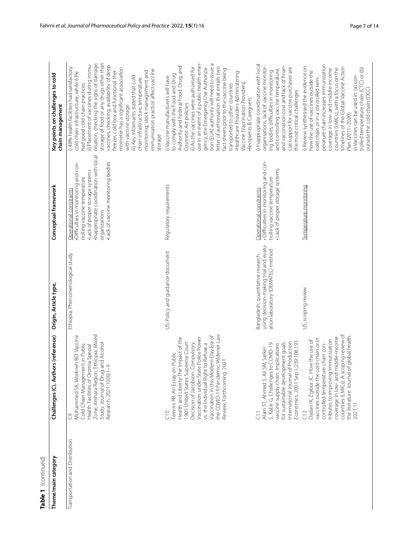| Table 1 (continued)             |                                                                                                                                                                                                                                                                                                                                                        |                                                                                                                  |                                                                                                                                                                                                                                     |                                                                                                                                                                                                                                                                                                                                                                                                                                                                                                                                                                               |
|---------------------------------|--------------------------------------------------------------------------------------------------------------------------------------------------------------------------------------------------------------------------------------------------------------------------------------------------------------------------------------------------------|------------------------------------------------------------------------------------------------------------------|-------------------------------------------------------------------------------------------------------------------------------------------------------------------------------------------------------------------------------------|-------------------------------------------------------------------------------------------------------------------------------------------------------------------------------------------------------------------------------------------------------------------------------------------------------------------------------------------------------------------------------------------------------------------------------------------------------------------------------------------------------------------------------------------------------------------------------|
| Theme/main category             | uthors (reference)<br>Challenges (C), Ar                                                                                                                                                                                                                                                                                                               | Origin, Article type,                                                                                            | Conceptual framework                                                                                                                                                                                                                | Key points on challenges to cold<br>chain management                                                                                                                                                                                                                                                                                                                                                                                                                                                                                                                          |
| Transportation and Distribution | Zone, Amhara Region, Ethiopia: Mixed<br>Mohammed SA, Workneh BD. Vaccine<br>Study. Journal of Drug and Alcohol<br>Cold Chain Management in Public<br>Health Facilities of Oromia Special<br>Research. 2021;10[8]:1-9<br>ටී                                                                                                                             | Ethiopia, Phenomenological study                                                                                 | ·Inappropriate coordination with local<br>· Lack of vaccine monitoring bodies<br>Difficulties in monitoring and con-<br>·Lack of proper storage systems<br>trolling vaccine temperature<br>Operational constraints<br>organizations | nisation, checking the signs of damage,<br>storage of food or any drugs other than<br>ii) Placement of vaccines during immu-<br>vaccines, checking, availability of deep<br>i) 48% health facilities had satisfactory<br>mometer has a significant association<br>freezer, cold box and functional ther-<br>immunisation practice affect vaccine<br>monitoring, stock management and<br>cold chain infrastructure, while 63%<br>iii) Key informants stated that cold<br>chain infrastructure, temperature<br>had good cold chain practices<br>with vaccine storage<br>storage |
|                                 | the COVID-19 Pandemic. Widener Law<br>Vaccination in this Modern-Day Era of<br>State Police Power<br>Health and Liberty-The Impact of the<br>Supreme Court<br>vs. the Individual Right to Refuse a<br>Decision of Jacobson: Compulsory<br>Termini RB. An Essay on Public<br>Review, Forthcoming. 2021<br>1905 United States<br>Vaccination under<br>°⊃ | US, Policy and guidance document                                                                                 | Regulatory requirements                                                                                                                                                                                                             | use in an event of a public health emer-<br>tion (EUA) authority will need to issue a<br>Authority and Federal Food, Drug, and<br>gency, the Emergency Use Authoriza-<br>etter of authorisation that entails two<br>ii) As the vaccines were authorised for<br>fact sheets prior to the vaccine being<br>Healthcare Providers Administering<br>to comply with the Food and Drug<br>i) Vaccine manufacturers will have<br>Vaccine (Vaccination Providers)<br>transported to other countries<br>Recipients & Caregivers<br>Cosmetic Act policies                                |
|                                 | Economics. 2021 Sep 1;239:108,193<br>nternational Journal of Production<br>for sustainable development goals.<br>S, Kabir G. Challenges to COVID-19<br>vaccine supply chain: Implications<br>Ali SM, Sarker<br>Alam ST, Ahmed S,<br>$\overline{5}$                                                                                                     | using decision-making trial and evalu-<br>ation laboratory (DEMATEL) method<br>Bangladesh, quantitative research | - Difficulties in monitoring and con-<br>· Lack of proper storage systems<br>trolling vaccine temperature<br>Operational constraints                                                                                                | i) Inappropriate coordination with local<br>organisations, lack of vaccine monitor-<br>and vaccination cost and lack of finan-<br>cial support for vaccine purchases are<br>and controlling vaccine temperature,<br>ing bodies, difficulties in monitoring<br>the most critical challenges                                                                                                                                                                                                                                                                                    |
|                                 | countries (LMICs): A scoping review of<br>the literature. Journal of global health.<br>coverage in low- and middle-income<br>vaccines outside the cold chain or in<br>Dadari IK, Zgibor JC. How the use of<br>tributes to improving immunization<br>controlled temperature chain con-<br>2021;11<br>CI2                                                | US, scoping review                                                                                               | Temperature monitoring                                                                                                                                                                                                              | perature chain increases immunization<br>i) Review synthesised the evidence on<br>timelines of the Global Vaccine Action<br>countries (LMICs), with a focus on the<br>trolled temperature chain (CTC) or (b)<br>coverage in low- and middle-income<br>how the use of vaccines outside the<br>ii) Vaccines can be used in: (a) con-<br>cold chain or in a controlled tem-<br>outside the cold chain (OCC)<br>Plan (2011-2020)                                                                                                                                                  |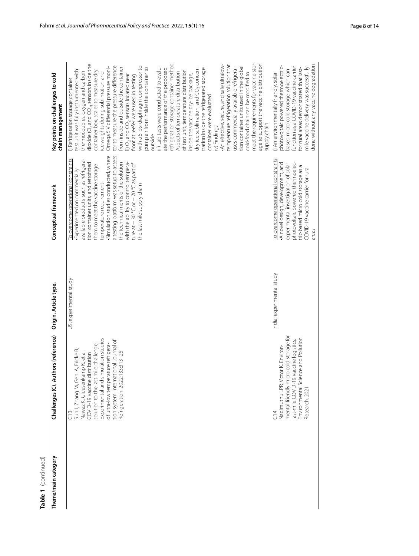| Table 1 (continued) |                                                                                                                                                                                                                                                                                                                            |                           |                                                                                                                                                                                                                                                                                                                                                                                                                                                                 |                                                                                                                                                                                                                                                                                                                                                                                                                                                                                                                                                                                                                                                                                                                                                                                                                                                                                                                                                                                                                                                                                                                                                                                                                                                                                                        |
|---------------------|----------------------------------------------------------------------------------------------------------------------------------------------------------------------------------------------------------------------------------------------------------------------------------------------------------------------------|---------------------------|-----------------------------------------------------------------------------------------------------------------------------------------------------------------------------------------------------------------------------------------------------------------------------------------------------------------------------------------------------------------------------------------------------------------------------------------------------------------|--------------------------------------------------------------------------------------------------------------------------------------------------------------------------------------------------------------------------------------------------------------------------------------------------------------------------------------------------------------------------------------------------------------------------------------------------------------------------------------------------------------------------------------------------------------------------------------------------------------------------------------------------------------------------------------------------------------------------------------------------------------------------------------------------------------------------------------------------------------------------------------------------------------------------------------------------------------------------------------------------------------------------------------------------------------------------------------------------------------------------------------------------------------------------------------------------------------------------------------------------------------------------------------------------------|
| Theme/main category | thors (reference)<br>Challenges (C), Au                                                                                                                                                                                                                                                                                    | Origin, Article type,     | Conceptual framework                                                                                                                                                                                                                                                                                                                                                                                                                                            | Key points on challenges to cold<br>chain management                                                                                                                                                                                                                                                                                                                                                                                                                                                                                                                                                                                                                                                                                                                                                                                                                                                                                                                                                                                                                                                                                                                                                                                                                                                   |
|                     | Experimental and simulation studies<br>tion system. International Journal of<br>solution to the last mile challenge:<br>of ultra-low temperature refrigera-<br>Sun J, Zhang M, Gehl A, Fricke B,<br>Nawaz K, Gluesenkamp K, et al.<br>133:313-25<br>COVID-19 vaccine distribution<br>Refrigeration. 2022;<br>$\frac{3}{2}$ | US, experimental study    | Simulation studies conducted, where<br>a testing platform was setup to assess<br>To overcome operational constraints<br>available products, such as refrigera-<br>the technical merits of the solution<br>tion container units, and retrofitted<br>with the ability to control tempera-<br>ture at $-30$ °C or $-70$ °C as part of<br>them to meet the vaccine storage<br>Experimented on commercially<br>temperature requirement<br>the last mile supply chain | meet the requirements for vaccine stor-<br>refrigeration storage container method.<br>dioxide (O <sub>2</sub> and CO <sub>2)</sub> sensors inside the<br>age to support the vaccine distribution<br>An effective, secure, and safe ultralow-<br>temperature refrigeration solution that<br>with a 5-psi diaphragm compressor to<br>tor to measure the pressure difference<br>iii) Lab tests were conducted to evalu-<br>tion container units used in the global<br>Omega 5 V differential pressure moni-<br>pump air from inside the container to<br>from inside and outside the container<br>dry-ice sublimation, and CO <sub>2</sub> concen-<br>tration inside the refrigerated storage<br>uses commercially available refrigera-<br>ate the performance of the proposed<br>test unit was fully instrumented with<br>of test unit, temperature distribution<br>container box, scales to measure dry<br>cold-food chain can be modified to<br>Aspects of temperature distribution<br>thermocouples, oxygen and carbon<br>ice weights during sublimation and<br>inside the vaccine dry-ice package,<br>ii) $O_2$ and $CO_2$ sensors located near<br>front at reefer were used in testing<br>i) Refrigeration storage container<br>container were evaluated<br>supply chain<br>iv) Findings:<br>putside |
|                     | mental friendly micro cold storage for<br>Environmental Science and Pollution<br>last-mile COVID-19 vaccine logistics.<br>Nadimuthu LPR, Victor K. Environ-<br>Research. 2021<br>$\frac{4}{3}$                                                                                                                             | India, experimental study | To overcome operational constraints<br>photovoltaic powered thermoelec-<br>A novel design, development, and<br>experimental investigation of solar<br>tric-based micro cold storage as a<br>COVID-19 vaccine carrier for rural<br>areas                                                                                                                                                                                                                         | done without any vaccine degradation<br>photovoltaic powered thermoelectric-<br>function as a COVID-19 vaccine carrier<br>mile vaccine delivery was successfully<br>for rural areas demonstrated that last-<br>based micro cold storage, which can<br>i) An environmentally friendly, solar                                                                                                                                                                                                                                                                                                                                                                                                                                                                                                                                                                                                                                                                                                                                                                                                                                                                                                                                                                                                            |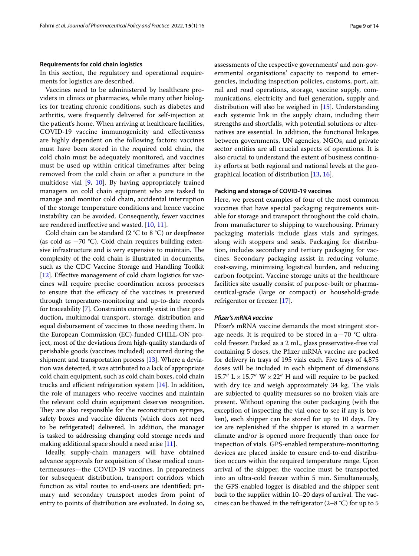#### **Requirements for cold chain logistics**

In this section, the regulatory and operational requirements for logistics are described.

Vaccines need to be administered by healthcare providers in clinics or pharmacies, while many other biologics for treating chronic conditions, such as diabetes and arthritis, were frequently delivered for self-injection at the patient's home. When arriving at healthcare facilities, COVID-19 vaccine immunogenicity and efectiveness are highly dependent on the following factors: vaccines must have been stored in the required cold chain, the cold chain must be adequately monitored, and vaccines must be used up within critical timeframes after being removed from the cold chain or after a puncture in the multidose vial [[9,](#page-12-8) [10\]](#page-13-0). By having appropriately trained managers on cold chain equipment who are tasked to manage and monitor cold chain, accidental interruption of the storage temperature conditions and hence vaccine instability can be avoided. Consequently, fewer vaccines are rendered inefective and wasted. [[10,](#page-13-0) [11](#page-13-1)].

Cold chain can be standard  $(2 \degree C)$  to 8  $\degree C)$  or deepfreeze (as cold as −70 °C). Cold chain requires building extensive infrastructure and is very expensive to maintain. The complexity of the cold chain is illustrated in documents, such as the CDC Vaccine Storage and Handling Toolkit [[12](#page-13-2)]. Effective management of cold chain logistics for vaccines will require precise coordination across processes to ensure that the efficacy of the vaccines is preserved through temperature-monitoring and up-to-date records for traceability [\[7](#page-12-6)]. Constraints currently exist in their production, multimodal transport, storage, distribution and equal disbursement of vaccines to those needing them. In the European Commission (EC)-funded CHILL-ON project, most of the deviations from high-quality standards of perishable goods (vaccines included) occurred during the shipment and transportation process [\[13\]](#page-13-3). Where a deviation was detected, it was attributed to a lack of appropriate cold chain equipment, such as cold chain boxes, cold chain trucks and efficient refrigeration system  $[14]$ . In addition, the role of managers who receive vaccines and maintain the relevant cold chain equipment deserves recognition. They are also responsible for the reconstitution syringes, safety boxes and vaccine diluents (which does not need to be refrigerated) delivered. In addition, the manager is tasked to addressing changing cold storage needs and making additional space should a need arise  $[11]$  $[11]$  $[11]$ .

Ideally, supply-chain managers will have obtained advance approvals for acquisition of these medical countermeasures—the COVID-19 vaccines. In preparedness for subsequent distribution, transport corridors which function as vital routes to end-users are identifed; primary and secondary transport modes from point of entry to points of distribution are evaluated. In doing so, assessments of the respective governments' and non-governmental organisations' capacity to respond to emergencies, including inspection policies, customs, port, air, rail and road operations, storage, vaccine supply, communications, electricity and fuel generation, supply and distribution will also be weighed in [[15\]](#page-13-5). Understanding each systemic link in the supply chain, including their strengths and shortfalls, with potential solutions or alternatives are essential. In addition, the functional linkages between governments, UN agencies, NGOs, and private sector entities are all crucial aspects of operations. It is also crucial to understand the extent of business continuity efforts at both regional and national levels at the geographical location of distribution [[13](#page-13-3), [16\]](#page-13-6).

# **Packing and storage of COVID‑19 vaccines**

Here, we present examples of four of the most common vaccines that have special packaging requirements suitable for storage and transport throughout the cold chain, from manufacturer to shipping to warehousing. Primary packaging materials include glass vials and syringes, along with stoppers and seals. Packaging for distribution, includes secondary and tertiary packaging for vaccines. Secondary packaging assist in reducing volume, cost-saving, minimising logistical burden, and reducing carbon footprint. Vaccine storage units at the healthcare facilities site usually consist of purpose-built or pharmaceutical-grade (large or compact) or household-grade refrigerator or freezer. [[17](#page-13-7)].

## *Pfzer's mRNA vaccine*

Pfizer's mRNA vaccine demands the most stringent storage needs. It is required to be stored in a−70 °C ultracold freezer. Packed as a 2 mL, glass preservative-free vial containing 5 doses, the Pfzer mRNA vaccine are packed for delivery in trays of 195 vials each. Five trays of 4,875 doses will be included in each shipment of dimensions 15.7"  $L \times 15.7$ " W  $\times 22$ " H and will require to be packed with dry ice and weigh approximately 34 kg. The vials are subjected to quality measures so no broken vials are present. Without opening the outer packaging (with the exception of inspecting the vial once to see if any is broken), each shipper can be stored for up to 10 days. Dry ice are replenished if the shipper is stored in a warmer climate and/or is opened more frequently than once for inspection of vials. GPS-enabled temperature-monitoring devices are placed inside to ensure end-to-end distribution occurs within the required temperature range. Upon arrival of the shipper, the vaccine must be transported into an ultra-cold freezer within 5 min. Simultaneously, the GPS-enabled logger is disabled and the shipper sent back to the supplier within 10–20 days of arrival. The vaccines can be thawed in the refrigerator  $(2-8 \degree C)$  for up to 5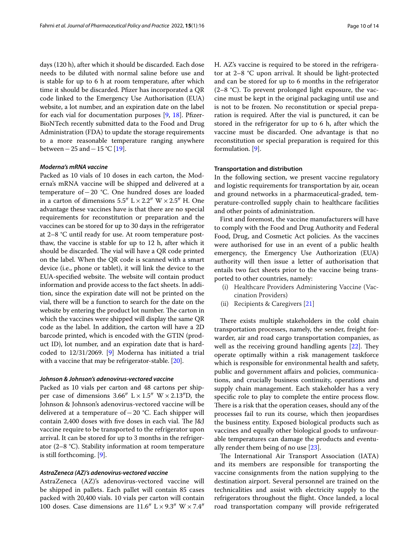days (120 h), after which it should be discarded. Each dose needs to be diluted with normal saline before use and is stable for up to 6 h at room temperature, after which time it should be discarded. Pfzer has incorporated a QR code linked to the Emergency Use Authorisation (EUA) website, a lot number, and an expiration date on the label for each vial for documentation purposes  $[9, 18]$  $[9, 18]$  $[9, 18]$  $[9, 18]$ . Pfizer-BioNTech recently submitted data to the Food and Drug Administration (FDA) to update the storage requirements to a more reasonable temperature ranging anywhere between−25 and−15 °C [[19](#page-13-9)].

#### *Moderna's mRNA vaccine*

Packed as 10 vials of 10 doses in each carton, the Moderna's mRNA vaccine will be shipped and delivered at a temperature of−20 °C. One hundred doses are loaded in a carton of dimensions  $5.5'' L \times 2.2'' W \times 2.5'' H$ . One advantage these vaccines have is that there are no special requirements for reconstitution or preparation and the vaccines can be stored for up to 30 days in the refrigerator at 2–8 °C until ready for use. At room temperature postthaw, the vaccine is stable for up to 12 h, after which it should be discarded. The vial will have a QR code printed on the label. When the QR code is scanned with a smart device (i.e., phone or tablet), it will link the device to the EUA-specified website. The website will contain product information and provide access to the fact sheets. In addition, since the expiration date will not be printed on the vial, there will be a function to search for the date on the website by entering the product lot number. The carton in which the vaccines were shipped will display the same QR code as the label. In addition, the carton will have a 2D barcode printed, which is encoded with the GTIN (product ID), lot number, and an expiration date that is hardcoded to 12/31/2069. [\[9](#page-12-8)] Moderna has initiated a trial with a vaccine that may be refrigerator-stable. [\[20\]](#page-13-10).

#### *Johnson & Johnson's adenovirus‑vectored vaccine*

Packed as 10 vials per carton and 48 cartons per shipper case of dimensions 3.66"  $L \times 1.5$ " W  $\times 2.13$ "D, the Johnson & Johnson's adenovirus-vectored vaccine will be delivered at a temperature of−20 °C. Each shipper will contain 2,400 doses with five doses in each vial. The J&J vaccine require to be transported to the refrigerator upon arrival. It can be stored for up to 3 months in the refrigerator (2–8 °C). Stability information at room temperature is still forthcoming. [[9\]](#page-12-8).

# *AstraZeneca (AZ)'s adenovirus‑vectored vaccine*

AstraZeneca (AZ)'s adenovirus-vectored vaccine will be shipped in pallets. Each pallet will contain 85 cases packed with 20,400 vials. 10 vials per carton will contain 100 doses. Case dimensions are  $11.6''$  L  $\times$  9.3" W  $\times$  7.4" H. AZ's vaccine is required to be stored in the refrigerator at 2–8 °C upon arrival. It should be light-protected and can be stored for up to 6 months in the refrigerator  $(2-8 \text{ °C})$ . To prevent prolonged light exposure, the vaccine must be kept in the original packaging until use and is not to be frozen. No reconstitution or special preparation is required. After the vial is punctured, it can be stored in the refrigerator for up to 6 h, after which the vaccine must be discarded. One advantage is that no reconstitution or special preparation is required for this formulation. [\[9](#page-12-8)].

#### **Transportation and distribution**

In the following section, we present vaccine regulatory and logistic requirements for transportation by air, ocean and ground networks in a pharmaceutical-graded, temperature-controlled supply chain to healthcare facilities and other points of administration.

First and foremost, the vaccine manufacturers will have to comply with the Food and Drug Authority and Federal Food, Drug, and Cosmetic Act policies. As the vaccines were authorised for use in an event of a public health emergency, the Emergency Use Authorization (EUA) authority will then issue a letter of authorisation that entails two fact sheets prior to the vaccine being transported to other countries, namely:

- (i) Healthcare Providers Administering Vaccine (Vaccination Providers)
- (ii) Recipients & Caregivers [[21](#page-13-11)]

There exists multiple stakeholders in the cold chain transportation processes, namely, the sender, freight forwarder, air and road cargo transportation companies, as well as the receiving ground handling agents  $[22]$  $[22]$ . They operate optimally within a risk management taskforce which is responsible for environmental health and safety, public and government afairs and policies, communications, and crucially business continuity, operations and supply chain management. Each stakeholder has a very specific role to play to complete the entire process flow. There is a risk that the operation ceases, should any of the processes fail to run its course, which then jeopardises the business entity. Exposed biological products such as vaccines and equally other biological goods to unfavourable temperatures can damage the products and eventually render them being of no use [\[23](#page-13-13)].

The International Air Transport Association (IATA) and its members are responsible for transporting the vaccine consignments from the nation supplying to the destination airport. Several personnel are trained on the technicalities and assist with electricity supply to the refrigerators throughout the fight. Once landed, a local road transportation company will provide refrigerated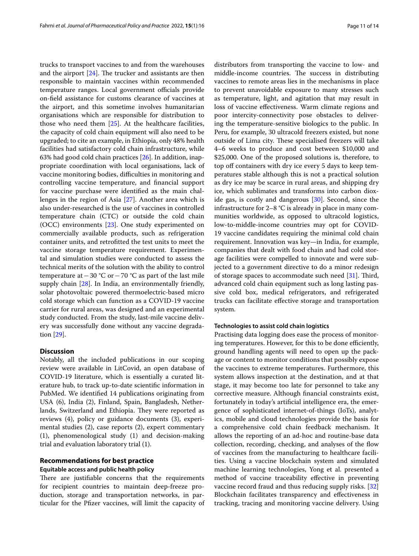trucks to transport vaccines to and from the warehouses and the airport  $[24]$ . The trucker and assistants are then responsible to maintain vaccines within recommended temperature ranges. Local government officials provide on-feld assistance for customs clearance of vaccines at the airport, and this sometime involves humanitarian organisations which are responsible for distribution to those who need them [[25\]](#page-13-15). At the healthcare facilities, the capacity of cold chain equipment will also need to be upgraded; to cite an example, in Ethiopia, only 48% health facilities had satisfactory cold chain infrastructure, while 63% had good cold chain practices [\[26\]](#page-13-16). In addition, inappropriate coordination with local organisations, lack of vaccine monitoring bodies, difficulties in monitoring and controlling vaccine temperature, and fnancial support for vaccine purchase were identifed as the main challenges in the region of Asia [\[27\]](#page-13-17). Another area which is also under-researched is the use of vaccines in controlled temperature chain (CTC) or outside the cold chain (OCC) environments [[23](#page-13-13)]. One study experimented on commercially available products, such as refrigeration container units, and retroftted the test units to meet the vaccine storage temperature requirement. Experimental and simulation studies were conducted to assess the technical merits of the solution with the ability to control temperature at  $-30$  °C or  $-70$  °C as part of the last mile supply chain [[28\]](#page-13-18). In India, an environmentally friendly, solar photovoltaic powered thermoelectric-based micro cold storage which can function as a COVID-19 vaccine carrier for rural areas, was designed and an experimental study conducted. From the study, last-mile vaccine delivery was successfully done without any vaccine degradation [[29\]](#page-13-19).

#### **Discussion**

Notably, all the included publications in our scoping review were available in LitCovid, an open database of COVID-19 literature, which is essentially a curated literature hub, to track up-to-date scientifc information in PubMed. We identifed 14 publications originating from USA (6), India (2), Finland, Spain, Bangladesh, Netherlands, Switzerland and Ethiopia. They were reported as reviews (4), policy or guidance documents (3), experimental studies (2), case reports (2), expert commentary (1), phenomenological study (1) and decision-making trial and evaluation laboratory trial (1).

# **Recommendations for best practice Equitable access and public health policy**

There are justifiable concerns that the requirements for recipient countries to maintain deep-freeze production, storage and transportation networks, in particular for the Pfzer vaccines, will limit the capacity of distributors from transporting the vaccine to low- and middle-income countries. The success in distributing vaccines to remote areas lies in the mechanisms in place to prevent unavoidable exposure to many stresses such as temperature, light, and agitation that may result in loss of vaccine efectiveness. Warm climate regions and poor intercity-connectivity pose obstacles to delivering the temperature-sensitive biologics to the public. In Peru, for example, 30 ultracold freezers existed, but none outside of Lima city. These specialised freezers will take 4–6 weeks to produce and cost between \$10,000 and \$25,000. One of the proposed solutions is, therefore, to top off containers with dry ice every 5 days to keep temperatures stable although this is not a practical solution as dry ice may be scarce in rural areas, and shipping dry ice, which sublimates and transforms into carbon dioxide gas, is costly and dangerous [\[30\]](#page-13-20). Second, since the infrastructure for 2–8 °C is already in place in many communities worldwide, as opposed to ultracold logistics, low-to-middle-income countries may opt for COVID-19 vaccine candidates requiring the minimal cold chain requirement. Innovation was key—in India, for example, companies that dealt with food chain and had cold storage facilities were compelled to innovate and were subjected to a government directive to do a minor redesign of storage spaces to accommodate such need  $[31]$  $[31]$ . Third, advanced cold chain equipment such as long lasting passive cold box, medical refrigerators, and refrigerated trucks can facilitate efective storage and transportation system.

## **Technologies to assist cold chain logistics**

Practising data logging does ease the process of monitoring temperatures. However, for this to be done efficiently, ground handling agents will need to open up the package or content to monitor conditions that possibly expose the vaccines to extreme temperatures. Furthermore, this system allows inspection at the destination, and at that stage, it may become too late for personnel to take any corrective measure. Although fnancial constraints exist, fortunately in today's artifcial intelligence era, the emergence of sophisticated internet-of-things (IoTs), analytics, mobile and cloud technologies provide the basis for a comprehensive cold chain feedback mechanism. It allows the reporting of an ad-hoc and routine-base data collection, recording, checking, and analyses of the fow of vaccines from the manufacturing to healthcare facilities. Using a vaccine blockchain system and simulated machine learning technologies, Yong et al. presented a method of vaccine traceability effective in preventing vaccine record fraud and thus reducing supply risks. [[32](#page-13-22)] Blockchain facilitates transparency and efectiveness in tracking, tracing and monitoring vaccine delivery. Using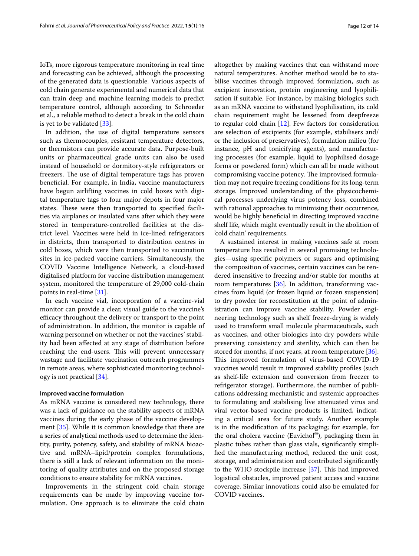IoTs, more rigorous temperature monitoring in real time and forecasting can be achieved, although the processing of the generated data is questionable. Various aspects of cold chain generate experimental and numerical data that can train deep and machine learning models to predict temperature control, although according to Schroeder et al., a reliable method to detect a break in the cold chain is yet to be validated  $[33]$  $[33]$ .

In addition, the use of digital temperature sensors such as thermocouples, resistant temperature detectors, or thermistors can provide accurate data. Purpose-built units or pharmaceutical grade units can also be used instead of household or dormitory-style refrigerators or freezers. The use of digital temperature tags has proven benefcial. For example, in India, vaccine manufacturers have begun airlifting vaccines in cold boxes with digital temperature tags to four major depots in four major states. These were then transported to specified facilities via airplanes or insulated vans after which they were stored in temperature-controlled facilities at the district level. Vaccines were held in ice-lined refrigerators in districts, then transported to distribution centres in cold boxes, which were then transported to vaccination sites in ice-packed vaccine carriers. Simultaneously, the COVID Vaccine Intelligence Network, a cloud-based digitalised platform for vaccine distribution management system, monitored the temperature of 29,000 cold-chain points in real-time [\[31\]](#page-13-21).

In each vaccine vial, incorporation of a vaccine-vial monitor can provide a clear, visual guide to the vaccine's efficacy throughout the delivery or transport to the point of administration. In addition, the monitor is capable of warning personnel on whether or not the vaccines' stability had been afected at any stage of distribution before reaching the end-users. This will prevent unnecessary wastage and facilitate vaccination outreach programmes in remote areas, where sophisticated monitoring technology is not practical [\[34](#page-13-24)].

#### **Improved vaccine formulation**

As mRNA vaccine is considered new technology, there was a lack of guidance on the stability aspects of mRNA vaccines during the early phase of the vaccine development [\[35\]](#page-13-25). While it is common knowledge that there are a series of analytical methods used to determine the identity, purity, potency, safety, and stability of mRNA bioactive and mRNA–lipid/protein complex formulations, there is still a lack of relevant information on the monitoring of quality attributes and on the proposed storage conditions to ensure stability for mRNA vaccines.

Improvements in the stringent cold chain storage requirements can be made by improving vaccine formulation. One approach is to eliminate the cold chain altogether by making vaccines that can withstand more natural temperatures. Another method would be to stabilise vaccines through improved formulation, such as excipient innovation, protein engineering and lyophilisation if suitable. For instance, by making biologics such as an mRNA vaccine to withstand lyophilisation, its cold chain requirement might be lessened from deepfreeze to regular cold chain [\[12](#page-13-2)]. Few factors for consideration are selection of excipients (for example, stabilisers and/ or the inclusion of preservatives), formulation milieu (for instance, pH and tonicifying agents), and manufacturing processes (for example, liquid to lyophilised dosage forms or powdered form) which can all be made without compromising vaccine potency. The improvised formulation may not require freezing conditions for its long-term storage. Improved understanding of the physicochemical processes underlying virus potency loss, combined with rational approaches to minimising their occurrence, would be highly beneficial in directing improved vaccine shelf life, which might eventually result in the abolition of 'cold chain' requirements.

A sustained interest in making vaccines safe at room temperature has resulted in several promising technologies—using specifc polymers or sugars and optimising the composition of vaccines, certain vaccines can be rendered insensitive to freezing and/or stable for months at room temperatures [\[36](#page-13-26)]. In addition, transforming vaccines from liquid (or frozen liquid or frozen suspension) to dry powder for reconstitution at the point of administration can improve vaccine stability. Powder engineering technology such as shelf freeze-drying is widely used to transform small molecule pharmaceuticals, such as vaccines, and other biologics into dry powders while preserving consistency and sterility, which can then be stored for months, if not years, at room temperature [\[36](#page-13-26)]. This improved formulation of virus-based COVID-19 vaccines would result in improved stability profles (such as shelf-life extension and conversion from freezer to refrigerator storage). Furthermore, the number of publications addressing mechanistic and systemic approaches to formulating and stabilising live attenuated virus and viral vector-based vaccine products is limited, indicating a critical area for future study. Another example is in the modifcation of its packaging; for example, for the oral cholera vaccine (Euvichol®), packaging them in plastic tubes rather than glass vials, signifcantly simplifed the manufacturing method, reduced the unit cost, storage, and administration and contributed signifcantly to the WHO stockpile increase  $[37]$  $[37]$ . This had improved logistical obstacles, improved patient access and vaccine coverage. Similar innovations could also be emulated for COVID vaccines.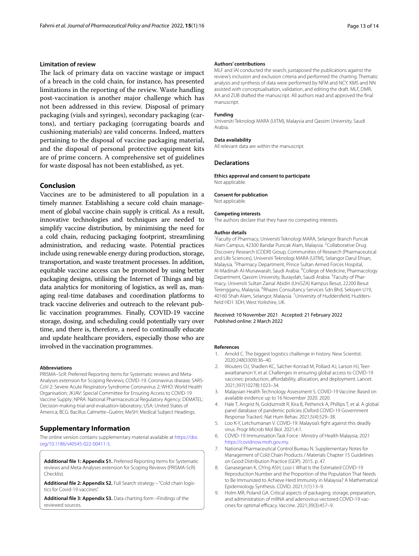#### **Limitation of review**

The lack of primary data on vaccine wastage or impact of a breach in the cold chain, for instance, has presented limitations in the reporting of the review. Waste handling post-vaccination is another major challenge which has not been addressed in this review. Disposal of primary packaging (vials and syringes), secondary packaging (cartons), and tertiary packaging (corrugating boards and cushioning materials) are valid concerns. Indeed, matters pertaining to the disposal of vaccine packaging material, and the disposal of personal protective equipment kits are of prime concern. A comprehensive set of guidelines for waste disposal has not been established, as yet.

# **Conclusion**

Vaccines are to be administered to all population in a timely manner. Establishing a secure cold chain management of global vaccine chain supply is critical. As a result, innovative technologies and techniques are needed to simplify vaccine distribution, by minimising the need for a cold chain, reducing packaging footprint, streamlining administration, and reducing waste. Potential practices include using renewable energy during production, storage, transportation, and waste treatment processes. In addition, equitable vaccine access can be promoted by using better packaging designs, utilising the Internet of Things and big data analytics for monitoring of logistics, as well as, managing real-time databases and coordination platforms to track vaccine deliveries and outreach to the relevant public vaccination programmes. Finally, COVID-19 vaccine storage, dosing, and scheduling could potentially vary over time, and there is, therefore, a need to continually educate and update healthcare providers, especially those who are involved in the vaccination programmes.

#### **Abbreviations**

PRISMA–ScR: Preferred Reporting Items for Systematic reviews and Meta-Analyses extension for Scoping Reviews; COVID-19: Coronavirus disease; SARS-CoV-2: Severe Acute Respiratory Syndrome Coronavirus 2; WHO: World Health Organisation; JKJAV: Special Committee for Ensuring Access to COVID-19 Vaccine Supply; NPRA: National Pharmaceutical Regulatory Agency; DEMATEL: Decision-making-trial-and-evaluation-laboratory; USA: United States of America; BCG: Bacillus Calmette–Guérin; MeSH: Medical Subject Headings.

# **Supplementary Information**

The online version contains supplementary material available at [https://doi.](https://doi.org/10.1186/s40545-022-00411-5) [org/10.1186/s40545-022-00411-5](https://doi.org/10.1186/s40545-022-00411-5).

<span id="page-12-9"></span>**Additional fle 1: Appendix S1.** Preferred Reporting Items for Systematic reviews and Meta-Analyses extension for Scoping Reviews (PRISMA-ScR) Checklist.

<span id="page-12-11"></span><span id="page-12-10"></span>Additional file 2: Appendix S2. Full Search strategy - "Cold chain logistics for Covid-19 vaccines".

**Additional fle 3: Appendix S3.** Data charting form –Findings of the reviewed sources.

#### **Authors' contributions**

MLF and IAI conducted the search, juxtaposed the publications against the review's inclusion and exclusion criteria and performed the charting. Thematic analysis and synthesis of data were performed by NFM and NCY. KMS and NN assisted with conceptualisation, validation, and editing the draft. MLF, DMR, AA and ZUB drafted the manuscript. All authors read and approved the fnal manuscript.

#### **Funding**

Universiti Teknologi MARA (UiTM), Malaysia and Qassim University, Saudi Arabia.

#### **Data availability**

All relevant data are within the manuscript.

#### **Declarations**

**Ethics approval and consent to participate** Not applicable.

#### **Consent for publication**

Not applicable.

#### **Competing interests**

The authors declare that they have no competing interests.

#### **Author details**

1 Faculty of Pharmacy, Universiti Teknologi MARA, Selangor Branch Puncak Alam Campus, 42300 Bandar Puncak Alam, Malaysia. <sup>2</sup>Collaborative Drug Discovery Research (CDDR) Group, Communities of Research (Pharmaceutical and Life Sciences), Universiti Teknologi MARA (UiTM), Selangor Darul Ehsan, Malaysia. 3 Pharmacy Department, Prince Sultan Armed Forces Hospital, Al-Madinah Al-Munawarah, Saudi Arabia. <sup>4</sup>College of Medicine, Pharmacology Department, Qassim University, Buraydah, Saudi Arabia. <sup>5</sup> Faculty of Pharmacy, Universiti Sultan Zainal Abidin (UniSZA) Kampus Besut, 22200 Besut Terengganu, Malaysia. <sup>6</sup>Rhazes Consultancy Services Sdn Bhd, Seksyen U19, 40160 Shah Alam, Selangor, Malaysia. <sup>7</sup>University of Huddersfield, Huddersfeld HD1 3DH, West Yorkshire, UK.

Received: 10 November 2021 Accepted: 21 February 2022 Published online: 2 March 2022

#### **References**

- <span id="page-12-0"></span>1. Arnold C. The biggest logistics challenge in history. New Scientist. 2020;248(3309):36–40.
- <span id="page-12-1"></span>2. Wouters OJ, Shadlen KC, Salcher-Konrad M, Pollard AJ, Larson HJ, Teerawattananon Y, et al. Challenges in ensuring global access to COVID-19 vaccines: production, affordability, allocation, and deployment. Lancet. 2021;397(10278):1023–34.
- <span id="page-12-2"></span>3. Malaysian Health Technology Assessment S. COVID-19 Vaccine: Based on available evidence up to 16 November 2020. 2020.
- <span id="page-12-3"></span>4. Hale T, Angrist N, Goldszmidt R, Kira B, Petherick A, Phillips T, et al. A global panel database of pandemic policies (Oxford COVID-19 Government Response Tracker). Nat Hum Behav. 2021;5(4):529–38.
- <span id="page-12-4"></span>5. Loo K-Y, Letchumanan V. COVID-19: Malaysia's fght against this deadly virus. Progr Microb Mol Biol. 2021;4:1.
- <span id="page-12-5"></span>6. COVID-19 Immunisation Task Force : Ministry of Health Malaysia; 2021 [https://covidnow.moh.gov.my.](https://covidnow.moh.gov.my)
- <span id="page-12-6"></span>7. National Pharmaceutical Control Bureau N. Supplementary Notes for Management of Cold Chain Products / Materials Chapter 15 Guidelines on Good Distribution Practice (GDP). 2015. p. 47.
- <span id="page-12-7"></span>8. Ganasegeran K, Ch'ng ASH, Looi I. What Is the Estimated COVID-19 Reproduction Number and the Proportion of the Population That Needs to Be Immunized to Achieve Herd Immunity in Malaysia? A Mathematical Epidemiology Synthesis. COVID. 2021;1(1):13–9.
- <span id="page-12-8"></span>9. Holm MR, Poland GA. Critical aspects of packaging, storage, preparation, and administration of mRNA and adenovirus-vectored COVID-19 vaccines for optimal efficacy. Vaccine. 2021;39(3):457-9.